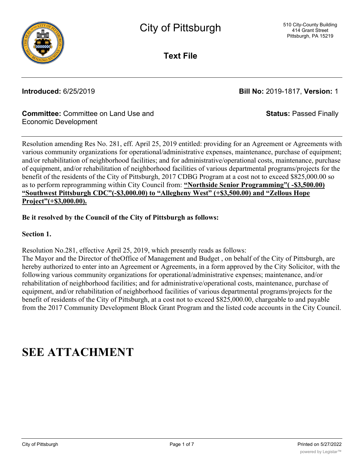

**Text File**

**Introduced:** 6/25/2019 **Bill No:** 2019-1817, **Version:** 1

**Status:** Passed Finally

## **Committee:** Committee on Land Use and Economic Development

Resolution amending Res No. 281, eff. April 25, 2019 entitled: providing for an Agreement or Agreements with various community organizations for operational/administrative expenses, maintenance, purchase of equipment; and/or rehabilitation of neighborhood facilities; and for administrative/operational costs, maintenance, purchase of equipment, and/or rehabilitation of neighborhood facilities of various departmental programs/projects for the benefit of the residents of the City of Pittsburgh, 2017 CDBG Program at a cost not to exceed \$825,000.00 so as to perform reprogramming within City Council from: **"Northside Senior Programming"( -\$3,500.00) "Southwest Pittsburgh CDC"(-\$3,000.00) to "Allegheny West" (+\$3,500.00) and "Zellous Hope Project"(+\$3,000.00).**

## **Be it resolved by the Council of the City of Pittsburgh as follows:**

**Section 1.**

Resolution No.281, effective April 25, 2019, which presently reads as follows:

The Mayor and the Director of theOffice of Management and Budget , on behalf of the City of Pittsburgh, are hereby authorized to enter into an Agreement or Agreements, in a form approved by the City Solicitor, with the following various community organizations for operational/administrative expenses; maintenance, and/or rehabilitation of neighborhood facilities; and for administrative/operational costs, maintenance, purchase of equipment, and/or rehabilitation of neighborhood facilities of various departmental programs/projects for the benefit of residents of the City of Pittsburgh, at a cost not to exceed \$825,000.00, chargeable to and payable from the 2017 Community Development Block Grant Program and the listed code accounts in the City Council.

# **SEE ATTACHMENT**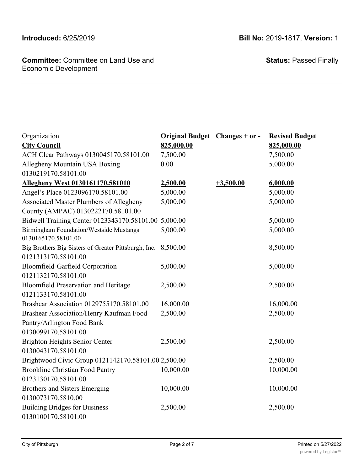## **Committee:** Committee on Land Use and Economic Development

**Introduced:** 6/25/2019 **Bill No:** 2019-1817, **Version:** 1

**Status:** Passed Finally

| Organization                                         | Original Budget Changes + or - |             | <b>Revised Budget</b> |
|------------------------------------------------------|--------------------------------|-------------|-----------------------|
| <b>City Council</b>                                  | 825,000.00                     |             | 825,000.00            |
| ACH Clear Pathways 0130045170.58101.00               | 7,500.00                       |             | 7,500.00              |
| Allegheny Mountain USA Boxing                        | 0.00                           |             | 5,000.00              |
| 0130219170.58101.00                                  |                                |             |                       |
| <b>Allegheny West 0130161170.581010</b>              | 2,500.00                       | $+3,500.00$ | 6,000.00              |
| Angel's Place 0123096170.58101.00                    | 5,000.00                       |             | 5,000.00              |
| Associated Master Plumbers of Allegheny              | 5,000.00                       |             | 5,000.00              |
| County (AMPAC) 0130222170.58101.00                   |                                |             |                       |
| Bidwell Training Center 0123343170.58101.00 5,000.00 |                                |             | 5,000.00              |
| <b>Birmingham Foundation/Westside Mustangs</b>       | 5,000.00                       |             | 5,000.00              |
| 0130165170.58101.00                                  |                                |             |                       |
| Big Brothers Big Sisters of Greater Pittsburgh, Inc. | 8,500.00                       |             | 8,500.00              |
| 0121313170.58101.00                                  |                                |             |                       |
| Bloomfield-Garfield Corporation                      | 5,000.00                       |             | 5,000.00              |
| 0121132170.58101.00                                  |                                |             |                       |
| <b>Bloomfield Preservation and Heritage</b>          | 2,500.00                       |             | 2,500.00              |
| 0121133170.58101.00                                  |                                |             |                       |
| Brashear Association 0129755170.58101.00             | 16,000.00                      |             | 16,000.00             |
| Brashear Association/Henry Kaufman Food              | 2,500.00                       |             | 2,500.00              |
| Pantry/Arlington Food Bank                           |                                |             |                       |
| 0130099170.58101.00                                  |                                |             |                       |
| Brighton Heights Senior Center                       | 2,500.00                       |             | 2,500.00              |
| 0130043170.58101.00                                  |                                |             |                       |
| Brightwood Civic Group 0121142170.58101.00 2,500.00  |                                |             | 2,500.00              |
| <b>Brookline Christian Food Pantry</b>               | 10,000.00                      |             | 10,000.00             |
| 0123130170.58101.00                                  |                                |             |                       |
| Brothers and Sisters Emerging                        | 10,000.00                      |             | 10,000.00             |
| 0130073170.5810.00                                   |                                |             |                       |
| <b>Building Bridges for Business</b>                 | 2,500.00                       |             | 2,500.00              |
| 0130100170.58101.00                                  |                                |             |                       |

0121323170.58101.00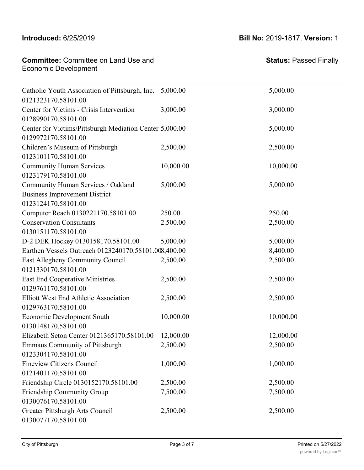## $Br<sub>2</sub>$   $Br<sub>2</sub>$   $Br<sub>2</sub>$   $Br<sub>2</sub>$   $Br<sub>2</sub>$   $Br<sub>2</sub>$  $0.1231301301301701701$

**Committee:** Committee on Land Use and Economic Development Committee: Comm

**Status:** Passed Finally

| Catholic Youth Association of Pittsburgh, Inc.<br>0121323170.58101.00                             | 5,000.00  | 5,000.00  |
|---------------------------------------------------------------------------------------------------|-----------|-----------|
| Center for Victims - Crisis Intervention<br>0128990170.58101.00                                   | 3,000.00  | 3,000.00  |
| Center for Victims/Pittsburgh Mediation Center 5,000.00<br>0129972170.58101.00                    |           | 5,000.00  |
| Children's Museum of Pittsburgh<br>0123101170.58101.00                                            | 2,500.00  | 2,500.00  |
| <b>Community Human Services</b><br>0123179170.58101.00                                            | 10,000.00 | 10,000.00 |
| Community Human Services / Oakland<br><b>Business Improvement District</b><br>0123124170.58101.00 | 5,000.00  | 5,000.00  |
| Computer Reach 0130221170.58101.00                                                                | 250.00    | 250.00    |
| <b>Conservation Consultants</b><br>0130151170.58101.00                                            | 2.500.00  | 2,500.00  |
| D-2 DEK Hockey 0130158170.58101.00                                                                | 5,000.00  | 5,000.00  |
| Earthen Vessels Outreach 0123240170.58101.008,400.00                                              |           | 8,400.00  |
| East Allegheny Community Council<br>0121330170.58101.00                                           | 2,500.00  | 2,500.00  |
| <b>East End Cooperative Ministries</b><br>0129761170.58101.00                                     | 2,500.00  | 2,500.00  |
| Elliott West End Athletic Association<br>0129763170.58101.00                                      | 2,500.00  | 2,500.00  |
| Economic Development South<br>0130148170.58101.00                                                 | 10,000.00 | 10,000.00 |
| Elizabeth Seton Center 0121365170.58101.00                                                        | 12,000.00 | 12,000.00 |
| <b>Emmaus Community of Pittsburgh</b><br>0123304170.58101.00                                      | 2,500.00  | 2,500.00  |
| <b>Fineview Citizens Council</b><br>0121401170.58101.00                                           | 1,000.00  | 1,000.00  |
| Friendship Circle 0130152170.58101.00                                                             | 2,500.00  | 2,500.00  |
| Friendship Community Group<br>0130076170.58101.00                                                 | 7,500.00  | 7,500.00  |
| Greater Pittsburgh Arts Council<br>0130077170.58101.00                                            | 2,500.00  | 2,500.00  |

 $\mathcal{L}$  and  $\mathcal{L}$  and  $\mathcal{L}$  and  $\mathcal{L}$  and  $\mathcal{L}$  and  $\mathcal{L}$  and  $\mathcal{L}$  and  $\mathcal{L}$  and  $\mathcal{L}$  and  $\mathcal{L}$  and  $\mathcal{L}$  and  $\mathcal{L}$  and  $\mathcal{L}$  and  $\mathcal{L}$  and  $\mathcal{L}$  and  $\mathcal{L}$  and  $\mathcal{L}$  and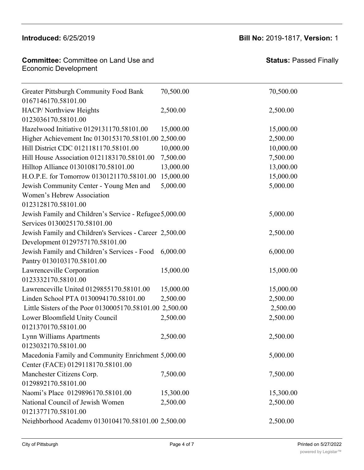Fineview Citizens Council

### **Committee:** Committee on Land Use and Economic Development Committee: Commi

## **Introduced:** 6/25/2019 **Bill No:** 2019-1817, **Version:** 1

1,000.00 1,000.00

**Status:** Passed Finally

| <b>Greater Pittsburgh Community Food Bank</b>           | 70,500.00 | 70,500.00 |
|---------------------------------------------------------|-----------|-----------|
| 0167146170.58101.00                                     |           |           |
| HACP/Northview Heights                                  | 2,500.00  | 2,500.00  |
| 0123036170.58101.00                                     |           |           |
| Hazelwood Initiative 0129131170.58101.00                | 15,000.00 | 15,000.00 |
| Higher Achievement Inc 0130153170.58101.00 2,500.00     |           | 2,500.00  |
| Hill District CDC 0121181170.58101.00                   | 10,000.00 | 10,000.00 |
| Hill House Association 0121183170.58101.00              | 7,500.00  | 7,500.00  |
| Hilltop Alliance 0130108170.58101.00                    | 13,000.00 | 13,000.00 |
| H.O.P.E. for Tomorrow 0130121170.58101.00               | 15,000.00 | 15,000.00 |
| Jewish Community Center - Young Men and                 | 5,000.00  | 5,000.00  |
| Women's Hebrew Association                              |           |           |
| 0123128170.58101.00                                     |           |           |
| Jewish Family and Children's Service - Refugee 5,000.00 |           | 5,000.00  |
| Services 0130025170.58101.00                            |           |           |
| Jewish Family and Children's Services - Career 2,500.00 |           | 2,500.00  |
| Development 0129757170.58101.00                         |           |           |
| Jewish Family and Children's Services - Food            | 6,000.00  | 6,000.00  |
| Pantry 0130103170.58101.00                              |           |           |
| Lawrenceville Corporation                               | 15,000.00 | 15,000.00 |
| 0123332170.58101.00                                     |           |           |
| Lawrenceville United 0129855170.58101.00                | 15,000.00 | 15,000.00 |
| Linden School PTA 0130094170.58101.00                   | 2,500.00  | 2,500.00  |
| Little Sisters of the Poor 0130005170.58101.00          | 2,500.00  | 2,500.00  |
| Lower Bloomfield Unity Council                          | 2,500.00  | 2,500.00  |
| 0121370170.58101.00                                     |           |           |
| Lynn Williams Apartments                                | 2,500.00  | 2,500.00  |
| 0123032170.58101.00                                     |           |           |
| Macedonia Family and Community Enrichment 5,000.00      |           | 5,000.00  |
| Center (FACE) 0129118170.58101.00                       |           |           |
| Manchester Citizens Corp.                               | 7,500.00  | 7,500.00  |
| 0129892170.58101.00                                     |           |           |
| Naomi's Place 0129896170.58101.00                       | 15,300.00 | 15,300.00 |
| National Council of Jewish Women                        | 2,500.00  | 2,500.00  |
| 0121377170.58101.00                                     |           |           |
| Neighborhood Academy 0130104170.58101.00 2,500.00       |           | 2,500.00  |
|                                                         |           |           |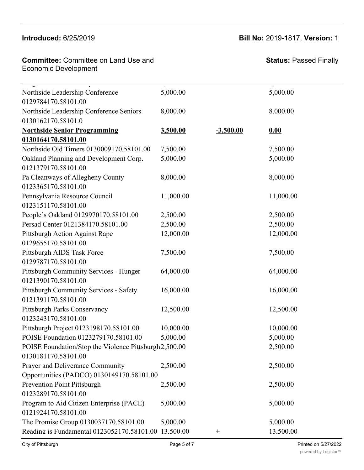**Committee:** Committee on Land Use and **Committee:** Committee on Land<br>Economic Development Naomi's Place 0129896170.58101.00 15,300.00 15,300.00  $\blacksquare$ 001.0001.000 $\blacksquare$ 

Center (FACE) 0129118170.58101.00

**Status:** Passed Finally

| Northside Leadership Conference<br>0129784170.58101.00        | 5,000.00  |             | 5,000.00  |
|---------------------------------------------------------------|-----------|-------------|-----------|
|                                                               |           |             | 8,000.00  |
| Northside Leadership Conference Seniors<br>0130162170.58101.0 | 8,000.00  |             |           |
| <b>Northside Senior Programming</b>                           | 3,500.00  | $-3,500.00$ | 0.00      |
| 0130164170.58101.00                                           |           |             |           |
| Northside Old Timers 0130009170.58101.00                      | 7,500.00  |             | 7,500.00  |
| Oakland Planning and Development Corp.                        | 5,000.00  |             | 5,000.00  |
| 0121379170.58101.00                                           |           |             |           |
| Pa Cleanways of Allegheny County                              | 8,000.00  |             | 8,000.00  |
| 0123365170.58101.00                                           |           |             |           |
| Pennsylvania Resource Council                                 | 11,000.00 |             | 11,000.00 |
| 0123151170.58101.00                                           |           |             |           |
| People's Oakland 0129970170.58101.00                          | 2,500.00  |             | 2,500.00  |
| Persad Center 0121384170.58101.00                             | 2,500.00  |             | 2,500.00  |
| Pittsburgh Action Against Rape                                | 12,000.00 |             | 12,000.00 |
| 0129655170.58101.00                                           |           |             |           |
| Pittsburgh AIDS Task Force                                    | 7,500.00  |             | 7,500.00  |
| 0129787170.58101.00                                           |           |             |           |
| Pittsburgh Community Services - Hunger                        | 64,000.00 |             | 64,000.00 |
| 0121390170.58101.00                                           |           |             |           |
| Pittsburgh Community Services - Safety                        | 16,000.00 |             | 16,000.00 |
| 0121391170.58101.00                                           |           |             |           |
| <b>Pittsburgh Parks Conservancy</b>                           | 12,500.00 |             | 12,500.00 |
| 0123243170.58101.00                                           |           |             |           |
| Pittsburgh Project 0123198170.58101.00                        | 10,000.00 |             | 10,000.00 |
| POISE Foundation 0123279170.58101.00                          | 5,000.00  |             | 5,000.00  |
| POISE Foundation/Stop the Violence Pittsburgh2,500.00         |           |             | 2,500.00  |
| 0130181170.58101.00                                           |           |             |           |
| Prayer and Deliverance Community                              | 2,500.00  |             | 2,500.00  |
| Opportunities (PADCO) 0130149170.58101.00                     |           |             |           |
| <b>Prevention Point Pittsburgh</b>                            | 2,500.00  |             | 2,500.00  |
| 0123289170.58101.00                                           |           |             |           |
| Program to Aid Citizen Enterprise (PACE)                      | 5,000.00  |             | 5,000.00  |
| 0121924170.58101.00                                           |           |             |           |
| The Promise Group 0130037170.58101.00                         | 5,000.00  |             | 5,000.00  |
| Reading is Fundamental 0123052170.58101.00 13.500.00          |           | $^{+}$      | 13.500.00 |
|                                                               |           |             |           |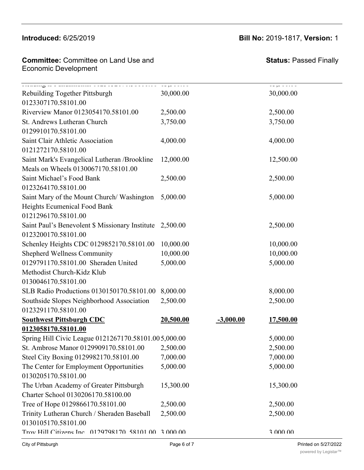## **Introduced:** 6/25/2019 **Bill No:** 2019-1817, **Version:** 1

| <b>Committee:</b> Committee on Land Use and |  |
|---------------------------------------------|--|
| Economic Development                        |  |

Opportunities (PADCO) 0130149170.58101.00

# **Status:** Passed Finally

| Rebuilding Together Pittsburgh                       | 30,000.00 |             | 1090 00.00<br>30,000.00 |  |
|------------------------------------------------------|-----------|-------------|-------------------------|--|
| 0123307170.58101.00                                  |           |             |                         |  |
| Riverview Manor 0123054170.58101.00                  | 2,500.00  |             | 2,500.00                |  |
| St. Andrews Lutheran Church                          | 3,750.00  |             | 3,750.00                |  |
| 0129910170.58101.00                                  |           |             |                         |  |
| Saint Clair Athletic Association                     | 4,000.00  |             | 4,000.00                |  |
| 0121272170.58101.00                                  |           |             |                         |  |
| Saint Mark's Evangelical Lutheran /Brookline         | 12,000.00 |             | 12,500.00               |  |
| Meals on Wheels 0130067170.58101.00                  |           |             |                         |  |
| Saint Michael's Food Bank                            | 2,500.00  |             | 2,500.00                |  |
| 0123264170.58101.00                                  |           |             |                         |  |
| Saint Mary of the Mount Church/Washington            | 5,000.00  |             | 5,000.00                |  |
| Heights Ecumenical Food Bank                         |           |             |                         |  |
| 0121296170.58101.00                                  |           |             |                         |  |
| Saint Paul's Benevolent \$ Missionary Institute      | 2,500.00  |             | 2,500.00                |  |
| 0123200170.58101.00                                  |           |             |                         |  |
| Schenley Heights CDC 0129852170.58101.00             | 10,000.00 |             | 10,000.00               |  |
| <b>Shepherd Wellness Community</b>                   | 10,000.00 |             | 10,000.00               |  |
| 0129791170.58101.00 Sheraden United                  | 5,000.00  |             | 5,000.00                |  |
| Methodist Church-Kidz Klub                           |           |             |                         |  |
| 0130046170.58101.00                                  |           |             |                         |  |
| SLB Radio Productions 0130150170.58101.00            | 8,000.00  |             | 8,000.00                |  |
| Southside Slopes Neighborhood Association            | 2,500.00  |             | 2,500.00                |  |
| 0123291170.58101.00                                  |           |             |                         |  |
| <b>Southwest Pittsburgh CDC</b>                      | 20,500.00 | $-3,000.00$ | 17,500.00               |  |
| 0123058170.58101.00                                  |           |             |                         |  |
| Spring Hill Civic League 0121267170.58101.005,000.00 |           |             | 5,000.00                |  |
| St. Ambrose Manor 0129909170.58101.00                | 2,500.00  |             | 2,500.00                |  |
| Steel City Boxing 0129982170.58101.00                | 7,000.00  |             | 7,000.00                |  |
| The Center for Employment Opportunities              | 5,000.00  |             | 5,000.00                |  |
| 0130205170.58101.00                                  |           |             |                         |  |
| The Urban Academy of Greater Pittsburgh              | 15,300.00 |             | 15,300.00               |  |
| Charter School 0130206170.58100.00                   |           |             |                         |  |
| Tree of Hope 0129866170.58101.00                     | 2,500.00  |             | 2,500.00                |  |
| Trinity Lutheran Church / Sheraden Baseball          | 2,500.00  |             | 2,500.00                |  |
| 0130105170.58101.00                                  |           |             |                         |  |
| Trov Hill Citizens Inc. 0129798170 58101 00 3 000 00 |           |             | 3 000 00                |  |